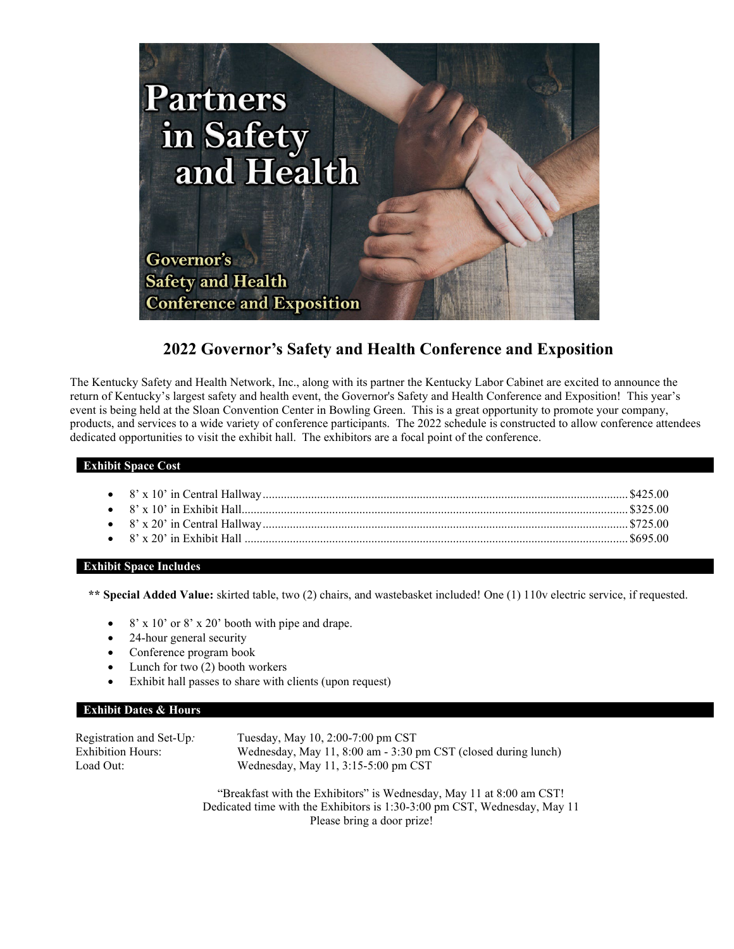

# **2022 Governor's Safety and Health Conference and Exposition**

The Kentucky Safety and Health Network, Inc., along with its partner the Kentucky Labor Cabinet are excited to announce the return of Kentucky's largest safety and health event, the Governor's Safety and Health Conference and Exposition! This year's event is being held at the Sloan Convention Center in Bowling Green. This is a great opportunity to promote your company, products, and services to a wide variety of conference participants. The 2022 schedule is constructed to allow conference attendees dedicated opportunities to visit the exhibit hall. The exhibitors are a focal point of the conference.

## **Exhibit Space Cost**

#### **Exhibit Space Includes**

**\*\* Special Added Value:** skirted table, two (2) chairs, and wastebasket included! One (1) 110v electric service, if requested.

- $8'$  x 10' or  $8'$  x 20' booth with pipe and drape.
- 24-hour general security
- Conference program book
- Lunch for two  $(2)$  booth workers
- Exhibit hall passes to share with clients (upon request)

## **Exhibit Dates & Hours**

| Registration and Set-Up. | Tuesday, May 10, 2:00-7:00 pm CST                              |
|--------------------------|----------------------------------------------------------------|
| <b>Exhibition Hours:</b> | Wednesday, May 11, 8:00 am - 3:30 pm CST (closed during lunch) |
| Load Out:                | Wednesday, May $11, 3:15-5:00$ pm CST                          |

"Breakfast with the Exhibitors" is Wednesday, May 11 at 8:00 am CST! Dedicated time with the Exhibitors is 1:30-3:00 pm CST, Wednesday, May 11 Please bring a door prize!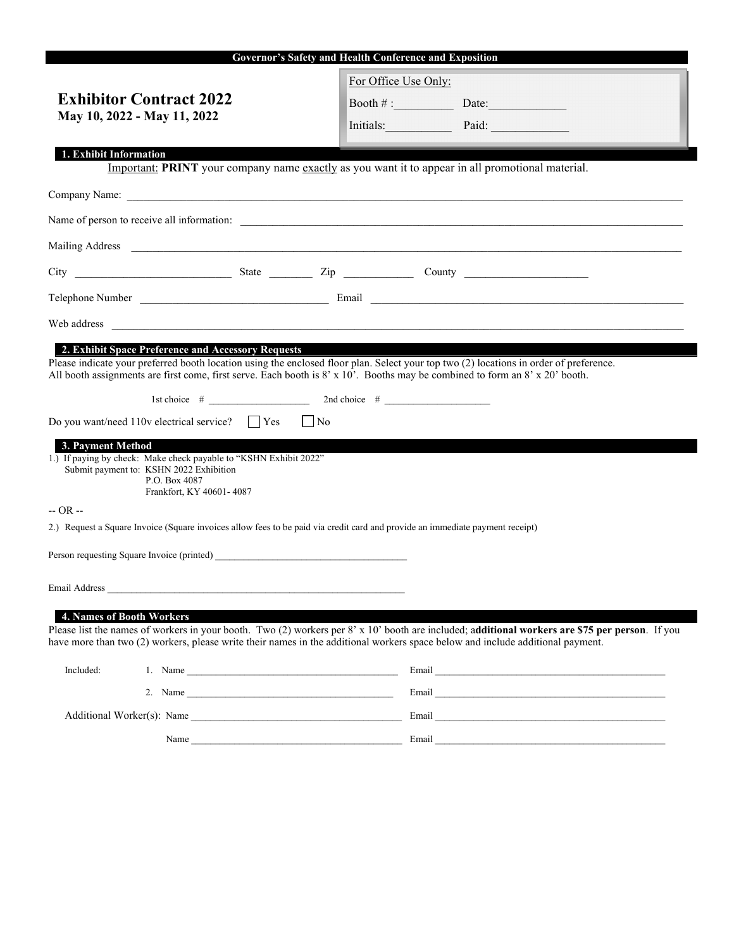| Governor's Safety and Health Conference and Exposition                                                                                                                                                                                                                                                                       |                                                                                                                                                                                                                                      |                      |                    |                                                                                                                                                                                                                               |  |  |  |
|------------------------------------------------------------------------------------------------------------------------------------------------------------------------------------------------------------------------------------------------------------------------------------------------------------------------------|--------------------------------------------------------------------------------------------------------------------------------------------------------------------------------------------------------------------------------------|----------------------|--------------------|-------------------------------------------------------------------------------------------------------------------------------------------------------------------------------------------------------------------------------|--|--|--|
|                                                                                                                                                                                                                                                                                                                              |                                                                                                                                                                                                                                      | For Office Use Only: |                    |                                                                                                                                                                                                                               |  |  |  |
| <b>Exhibitor Contract 2022</b>                                                                                                                                                                                                                                                                                               |                                                                                                                                                                                                                                      |                      | Booth $\#$ : Date: |                                                                                                                                                                                                                               |  |  |  |
| May 10, 2022 - May 11, 2022                                                                                                                                                                                                                                                                                                  |                                                                                                                                                                                                                                      |                      | Initials: Paid:    |                                                                                                                                                                                                                               |  |  |  |
|                                                                                                                                                                                                                                                                                                                              |                                                                                                                                                                                                                                      |                      |                    |                                                                                                                                                                                                                               |  |  |  |
| 1. Exhibit Information                                                                                                                                                                                                                                                                                                       | Important: PRINT your company name exactly as you want it to appear in all promotional material.                                                                                                                                     |                      |                    |                                                                                                                                                                                                                               |  |  |  |
|                                                                                                                                                                                                                                                                                                                              |                                                                                                                                                                                                                                      |                      |                    |                                                                                                                                                                                                                               |  |  |  |
|                                                                                                                                                                                                                                                                                                                              |                                                                                                                                                                                                                                      |                      |                    |                                                                                                                                                                                                                               |  |  |  |
|                                                                                                                                                                                                                                                                                                                              |                                                                                                                                                                                                                                      |                      |                    |                                                                                                                                                                                                                               |  |  |  |
|                                                                                                                                                                                                                                                                                                                              |                                                                                                                                                                                                                                      |                      |                    |                                                                                                                                                                                                                               |  |  |  |
|                                                                                                                                                                                                                                                                                                                              |                                                                                                                                                                                                                                      |                      |                    |                                                                                                                                                                                                                               |  |  |  |
|                                                                                                                                                                                                                                                                                                                              |                                                                                                                                                                                                                                      |                      |                    |                                                                                                                                                                                                                               |  |  |  |
|                                                                                                                                                                                                                                                                                                                              | Web address <b>and the contract of the contract of the contract of the contract of the contract of the contract of the contract of the contract of the contract of the contract of the contract of the contract of the contract </b> |                      |                    |                                                                                                                                                                                                                               |  |  |  |
| 2. Exhibit Space Preference and Accessory Requests<br>Please indicate your preferred booth location using the enclosed floor plan. Select your top two (2) locations in order of preference.<br>All booth assignments are first come, first serve. Each booth is 8' x 10'. Booths may be combined to form an 8' x 20' booth. |                                                                                                                                                                                                                                      |                      |                    |                                                                                                                                                                                                                               |  |  |  |
|                                                                                                                                                                                                                                                                                                                              | 1st choice $\#$ 2nd choice $\#$ 2nd choice $\#$                                                                                                                                                                                      |                      |                    |                                                                                                                                                                                                                               |  |  |  |
|                                                                                                                                                                                                                                                                                                                              | Do you want/need $110v$ electrical service? $\Box$ Yes                                                                                                                                                                               | $\Box$ No            |                    |                                                                                                                                                                                                                               |  |  |  |
| 3. Payment Method<br>1.) If paying by check: Make check payable to "KSHN Exhibit 2022"<br>Submit payment to: KSHN 2022 Exhibition<br>P.O. Box 4087<br>Frankfort, KY 40601-4087                                                                                                                                               |                                                                                                                                                                                                                                      |                      |                    |                                                                                                                                                                                                                               |  |  |  |
| $-OR -$                                                                                                                                                                                                                                                                                                                      |                                                                                                                                                                                                                                      |                      |                    |                                                                                                                                                                                                                               |  |  |  |
|                                                                                                                                                                                                                                                                                                                              | 2.) Request a Square Invoice (Square invoices allow fees to be paid via credit card and provide an immediate payment receipt)                                                                                                        |                      |                    |                                                                                                                                                                                                                               |  |  |  |
|                                                                                                                                                                                                                                                                                                                              |                                                                                                                                                                                                                                      |                      |                    |                                                                                                                                                                                                                               |  |  |  |
| Email Address                                                                                                                                                                                                                                                                                                                |                                                                                                                                                                                                                                      |                      |                    |                                                                                                                                                                                                                               |  |  |  |
| 4. Names of Booth Workers                                                                                                                                                                                                                                                                                                    |                                                                                                                                                                                                                                      |                      |                    |                                                                                                                                                                                                                               |  |  |  |
|                                                                                                                                                                                                                                                                                                                              |                                                                                                                                                                                                                                      |                      |                    | Please list the names of workers in your booth. Two $(2)$ workers per $8' \times 10'$ booth are included; additional workers are \$75 per person. If you                                                                      |  |  |  |
| have more than two (2) workers, please write their names in the additional workers space below and include additional payment.                                                                                                                                                                                               |                                                                                                                                                                                                                                      |                      |                    |                                                                                                                                                                                                                               |  |  |  |
| Included:                                                                                                                                                                                                                                                                                                                    |                                                                                                                                                                                                                                      |                      |                    |                                                                                                                                                                                                                               |  |  |  |
|                                                                                                                                                                                                                                                                                                                              | 2. Name                                                                                                                                                                                                                              |                      |                    | Email and the contract of the contract of the contract of the contract of the contract of the contract of the contract of the contract of the contract of the contract of the contract of the contract of the contract of the |  |  |  |
| Additional Worker(s): Name                                                                                                                                                                                                                                                                                                   |                                                                                                                                                                                                                                      |                      | Email              |                                                                                                                                                                                                                               |  |  |  |

Name \_\_\_\_\_\_\_\_\_\_\_\_\_\_\_\_\_\_\_\_\_\_\_\_\_\_\_\_\_\_\_\_\_\_\_\_\_\_\_\_\_\_\_\_ Email \_\_\_\_\_\_\_\_\_\_\_\_\_\_\_\_\_\_\_\_\_\_\_\_\_\_\_\_\_\_\_\_\_\_\_\_\_\_\_\_\_\_\_\_\_\_\_\_